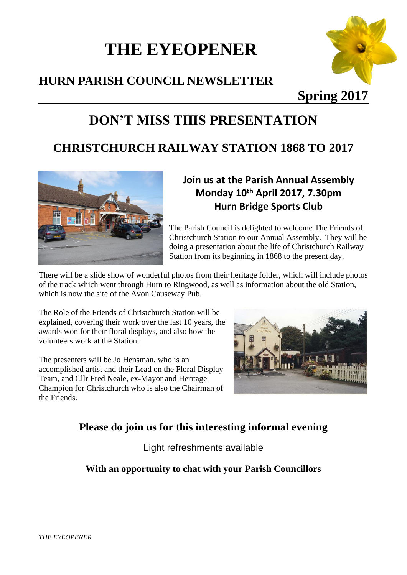# **THE EYEOPENER**

## **HURN PARISH COUNCIL NEWSLETTER**



**Spring 2017**

# **DON'T MISS THIS PRESENTATION**

## **CHRISTCHURCH RAILWAY STATION 1868 TO 2017**



### **Join us at the Parish Annual Assembly Monday 10 th April 2017, 7.30pm Hurn Bridge Sports Club**

The Parish Council is delighted to welcome The Friends of Christchurch Station to our Annual Assembly. They will be doing a presentation about the life of Christchurch Railway Station from its beginning in 1868 to the present day.

There will be a slide show of wonderful photos from their heritage folder, which will include photos of the track which went through Hurn to Ringwood, as well as information about the old Station, which is now the site of the Avon Causeway Pub.

The Role of the Friends of Christchurch Station will be explained, covering their work over the last 10 years, the awards won for their floral displays, and also how the volunteers work at the Station.

The presenters will be Jo Hensman, who is an accomplished artist and their Lead on the Floral Display Team, and Cllr Fred Neale, ex-Mayor and Heritage Champion for Christchurch who is also the Chairman of the Friends.



## **Please do join us for this interesting informal evening**

Light refreshments available

#### **With an opportunity to chat with your Parish Councillors**